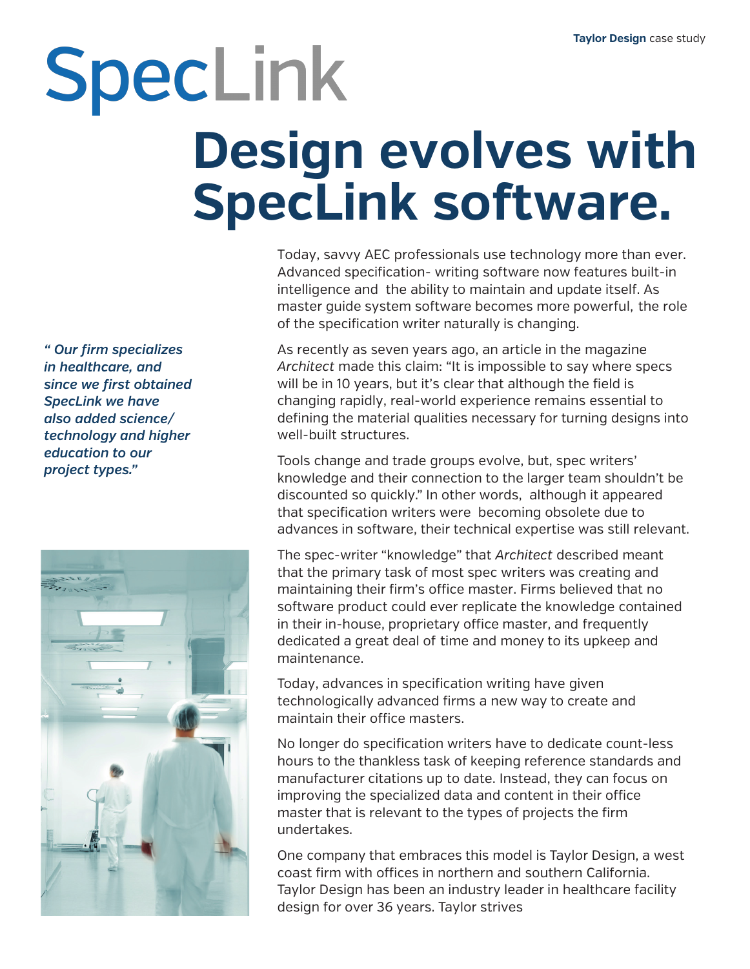## SpecLink **Design evolves with SpecLink software.**

Today, savvy AEC professionals use technology more than ever. Advanced specification- writing software now features built-in intelligence and the ability to maintain and update itself. As master guide system software becomes more powerful, the role of the specification writer naturally is changing.

As recently as seven years ago, an article in the magazine *Architect* made this claim: "It is impossible to say where specs will be in 10 years, but it's clear that although the field is changing rapidly, realworld experience remains essential to defining the material qualities necessary for turning designs into well-built structures.

Tools change and trade groups evolve, but, spec writers' knowledge and their connection to the larger team shouldn't be discounted so quickly." In other words, although it appeared that specification writers were becoming obsolete due to advances in software, their technical expertise was still relevant.

The spec-writer "knowledge" that *Architect* described meant that the primary task of most spec writers was creating and maintaining their firm's office master. Firms believed that no software product could ever replicate the knowledge contained in their in-house, proprietary office master, and frequently dedicated a great deal of time and money to its upkeep and maintenance.

Today, advances in specification writing have given technologically advanced firms a new way to create and maintain their office masters.

No longer do specification writers have to dedicate count-less hours to the thankless task of keeping reference standards and manufacturer citations up to date. Instead, they can focus on improving the specialized data and content in their office master that is relevant to the types of projects the firm undertakes.

One company that embraces this model is Taylor Design, a west coast firm with offices in northern and southern California. Taylor Design has been an industry leader in healthcare facility design for over 36 years. Taylor strives to advance service delivery, patient experience, and the community presence of its client-partners.

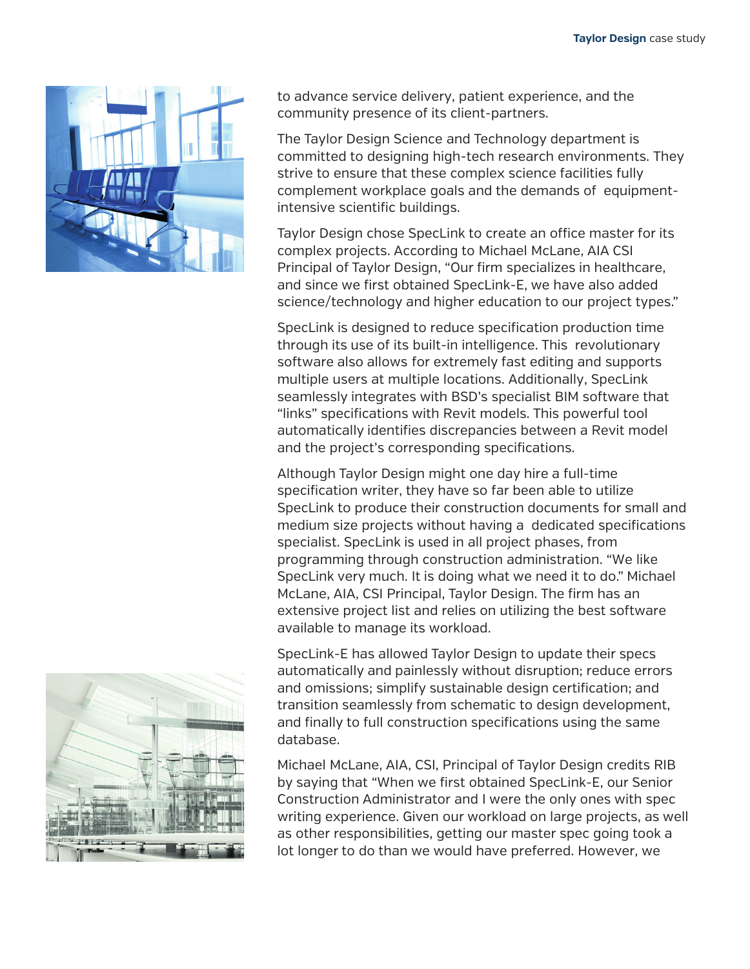

The Taylor Design Science and Technology department is committed to designing high-tech research environments. They strive to ensure that these complex science facilities fully complement workplace goals and the demands of equipment-intensive scientific buildings.

Taylor Design chose SpecLink to create an office master for its complex projects. According to Michael McLane, AIA CSI Principal of Taylor Design, "Our firm specializes in healthcare, and since we first obtained SpecLink-E, we have also added science/technology and higher education to our project types."

SpecLink is designed to reduce specification production time through its use of its built-in intelligence. This revolutionary software also allows for extremely fast editing and supports multiple users at multiple locations. Additionally, SpecLink seamlessly integrates with BSD's specialist BIM software that

"links" specifications with Revit models. This powerful tool automatically identifies discrepancies between a Revit model and the project's corresponding specifications.

Although Taylor Design might one day hire a full-time specification writer, they have so far been able to utilize SpecLink to produce their construction documents for small and medium size projects without having a dedicated specifications specialist. SpecLink is used in all project phases, from programming through construction administration. "We like SpecLink very much. It is doing what we need it to do." Michael McLane, AIA, CSI Principal, Taylor Design. The firm has an extensive project list and relies on utilizing the best software available to manage its workload.

SpecLink-E has allowed Taylor Design to update their specs automatically and painlessly without disruption; reduce errors and omissions; simplify sustainable design certification; and transition seamlessly from schematic to design development, and finally to full construction specifications using the same database.

Michael McLane, AIA, CSI, Principal of Taylor Design credits RIB by saying that "When we first obtained SpecLink-E, our Senior Construction Administrator and I were the only ones with spec writing experience. Given our workload on large projects, as well as other responsibilities, getting our master spec going took a lot longer to do than we would have preferred. However, we now have several senior staff members; one in each of our three offices, who are using SpecLink to generate project manuals for small and medium size projects.